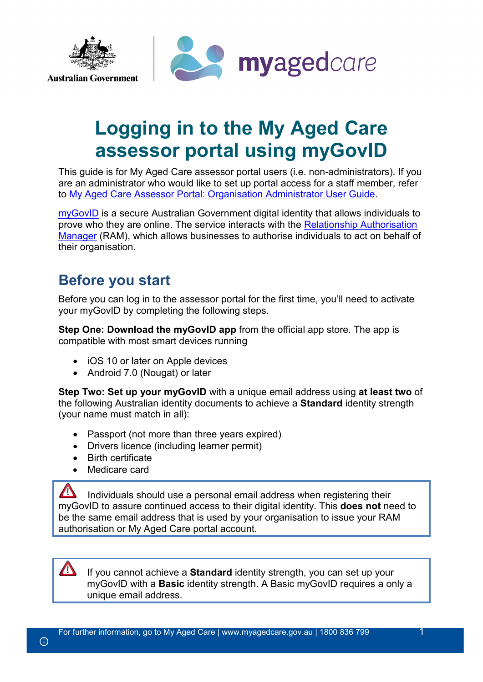

# **Logging in to the My Aged Care assessor portal using myGovID**

This guide is for My Aged Care assessor portal users (i.e. non-administrators). If you are an administrator who would like to set up portal access for a staff member, refer to My Aged Care Assessor Portal: [Organisation Administrator User Guide.](https://agedcare.health.gov.au/my-aged-care-assessor-portal-organisation-administrator-user-guide)

[myGovID](https://www.mygovid.gov.au/) is a secure Australian Government digital identity that allows individuals to prove who they are online. The service interacts with the Relationship [Authorisation](https://info.authorisationmanager.gov.au/)  [Manager](https://info.authorisationmanager.gov.au/) (RAM), which allows businesses to authorise individuals to act on behalf of their organisation.

# **Before you start**

Before you can log in to the assessor portal for the first time, you'll need to activate your myGovID by completing the following steps.

**Step One: Download the myGovID app** from the official app store. The app is compatible with most smart devices running

- iOS 10 or later on Apple devices
- Android 7.0 (Nougat) or later

**Step Two: Set up your myGovID** with a unique email address using **at least two** of the following Australian identity documents to achieve a **Standard** identity strength (your name must match in all):

- Passport (not more than three years expired)
- Drivers licence (including learner permit)
- Birth certificate
- Medicare card

 $\Delta$ Individuals should use a personal email address when registering their myGovID to assure continued access to their digital identity. This **does not** need to be the same email address that is used by your organisation to issue your RAM authorisation or My Aged Care portal account.

If you cannot achieve a **Standard** identity strength, you can set up your myGovID with a **Basic** identity strength. A Basic myGovID requires a only a unique email address.

 $\sqrt{N}$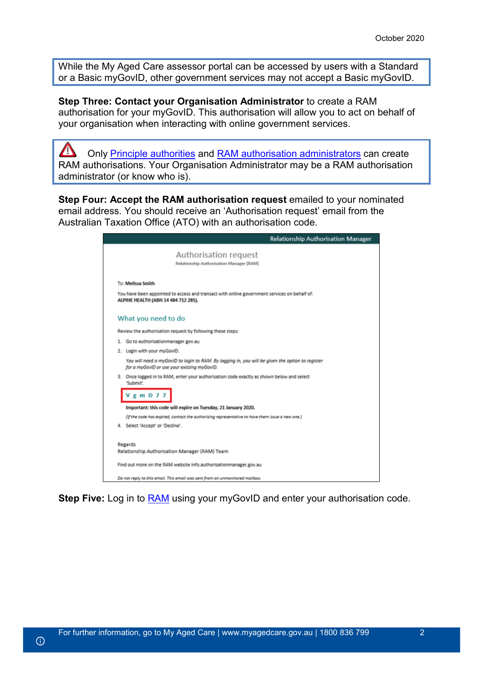While the My Aged Care assessor portal can be accessed by users with a Standard or a Basic myGovID, other government services may not accept a Basic myGovID.

**Step Three: Contact your Organisation Administrator** to create a RAM authorisation for your myGovID. This authorisation will allow you to act on behalf of your organisation when interacting with online government services.

 $\sqrt{1}$ Only [Principle authorities](https://info.authorisationmanager.gov.au/principal-authority) and [RAM authorisation administrators](https://info.authorisationmanager.gov.au/authorised-users-and-administrators) can create RAM authorisations. Your Organisation Administrator may be a RAM authorisation administrator (or know who is).

**Step Four: Accept the RAM authorisation request** emailed to your nominated email address. You should receive an 'Authorisation request' email from the Australian Taxation Office (ATO) with an authorisation code.

|                                                          | Relationship Authorisation Manager                                                               |
|----------------------------------------------------------|--------------------------------------------------------------------------------------------------|
|                                                          | Authorisation request<br>Relationship Authorisation Manager (RAM)                                |
| To: Melissa Smith                                        |                                                                                                  |
| ALPINE HEALTH (ABN 14 484 712 285).                      | You have been appointed to access and transact with online government services on behalf of:     |
| What you need to do                                      |                                                                                                  |
|                                                          | Review the authorisation request by following these steps:                                       |
| 1. Go to authorisationmanager.gov.au                     |                                                                                                  |
| 2. Login with your myGovID.                              |                                                                                                  |
| for a myGovID or use your existing myGovID.              | You will need a myGovID to login to RAM. By logging in, you will be given the option to register |
| "Submit"                                                 | 3. Once logged in to RAM, enter your authorisation code exactly as shown below and select        |
| $V$ g m D 7 7                                            |                                                                                                  |
|                                                          | Important: this code will expire on Tuesday, 21 January 2020.                                    |
|                                                          | (if the code has expired, contact the authorising representative to have them issue a new one.)  |
| 4. Select 'Accept' or 'Decline'.                         |                                                                                                  |
| Regards<br>Relationship Authorisation Manager (RAM) Team |                                                                                                  |
|                                                          | Find out more on the RAM website info.authorisationmanager.gov.au                                |
|                                                          | Do not reply to this email. This email was sent from an unmonitored mailbax.                     |

**Step Five:** Log in to [RAM](https://info.authorisationmanager.gov.au/) using your myGovID and enter your authorisation code.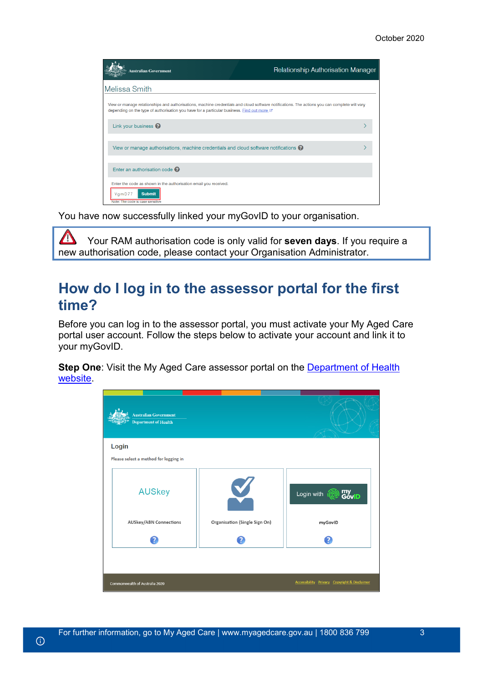| Australian Government                                                                                                                                                                                                                       | <b>Relationship Authorisation Manager</b> |
|---------------------------------------------------------------------------------------------------------------------------------------------------------------------------------------------------------------------------------------------|-------------------------------------------|
| Melissa Smith                                                                                                                                                                                                                               |                                           |
| View or manage relationships and authorisations, machine credentials and cloud software notifications. The actions you can complete will vary<br>depending on the type of authorisation you have for a particular business. Find out more C |                                           |
| Link your business $\bullet$                                                                                                                                                                                                                |                                           |
| View or manage authorisations, machine credentials and cloud software notifications $\mathbf Q$                                                                                                                                             |                                           |
| Enter an authorisation code $\bullet$                                                                                                                                                                                                       |                                           |
| Enter the code as shown in the authorisation email you received.<br>VgmD77<br><b>Submit</b><br>Note: The code is case sensitive                                                                                                             |                                           |

You have now successfully linked your myGovID to your organisation.

 $\Delta$ Your RAM authorisation code is only valid for **seven days**. If you require a new authorisation code, please contact your Organisation Administrator.

### <span id="page-2-0"></span>**How do I log in to the assessor portal for the first time?**

Before you can log in to the assessor portal, you must activate your My Aged Care portal user account. Follow the steps below to activate your account and link it to your myGovID.

**Step One**: Visit the My Aged Care assessor portal on the **Department of Health** [website.](https://myagedcare-assessorportal.health.gov.au/)

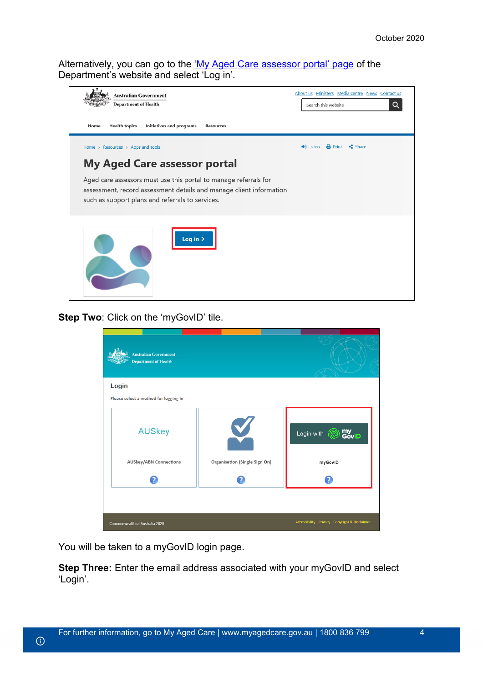Alternatively, you can go to the ['My Aged Care assessor portal'](https://www.health.gov.au/resources/apps-and-tools/my-aged-care-assessor-portal) page of the Department's website and select 'Log in'.



**Step Two: Click on the 'myGovID' tile.** 

| <b>Australian Government</b><br><b>Department of Health</b> |                               |                                                         |
|-------------------------------------------------------------|-------------------------------|---------------------------------------------------------|
| Login                                                       |                               |                                                         |
| Please select a method for logging in                       |                               |                                                         |
| <b>AUSkey</b>                                               | V,                            | my<br>GovID<br>Login with                               |
| <b>AUSkey/ABN Connections</b>                               | Organisation (Single Sign On) | myGovID                                                 |
| 7                                                           |                               | 2                                                       |
|                                                             |                               |                                                         |
| Commonwealth of Australia 2020                              |                               | <b>Accessibility Privacy Copyright &amp; Disclaimer</b> |

You will be taken to a myGovID login page.

 $\odot$ 

**Step Three:** Enter the email address associated with your myGovID and select 'Login'.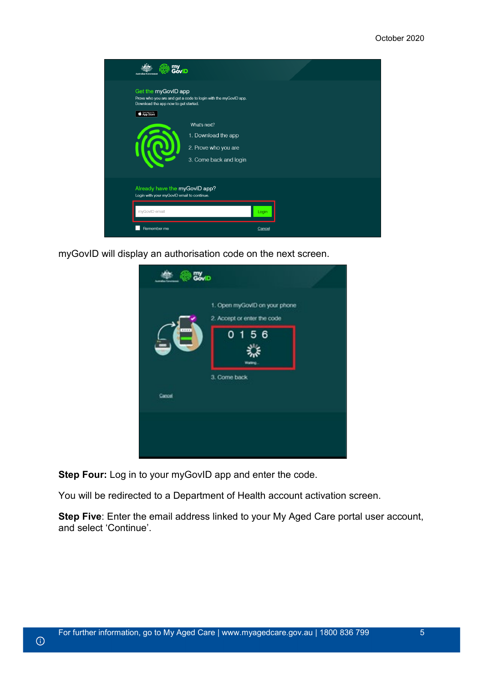

myGovID will display an authorisation code on the next screen.



**Step Four:** Log in to your myGovID app and enter the code.

You will be redirected to a Department of Health account activation screen.

**Step Five**: Enter the email address linked to your My Aged Care portal user account, and select 'Continue'.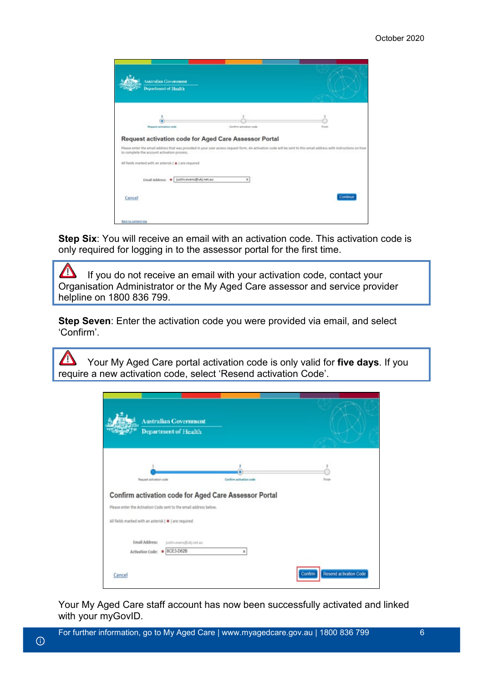| Australian Government                                 |                                                                                                                                                                   |          |
|-------------------------------------------------------|-------------------------------------------------------------------------------------------------------------------------------------------------------------------|----------|
| Department of Health                                  |                                                                                                                                                                   |          |
|                                                       |                                                                                                                                                                   |          |
| Request activation code                               | Cardinn activation code                                                                                                                                           | Finish   |
| Request activation code for Aged Care Assessor Portal |                                                                                                                                                                   |          |
|                                                       |                                                                                                                                                                   |          |
|                                                       | Please enter the email address that was provided in your user access request form. An activation code will be sent to this email address with instructions on how |          |
| to complete the account activation process.           |                                                                                                                                                                   |          |
| All fields marked with an asterisk ( @ ) are required |                                                                                                                                                                   |          |
|                                                       | ×                                                                                                                                                                 |          |
| Email Address: . Justin.evans@ukj.net.au              |                                                                                                                                                                   |          |
| Cancel                                                |                                                                                                                                                                   | Continue |

**Step Six:** You will receive an email with an activation code. This activation code is only required for logging in to the assessor portal for the first time.

 $\Delta$ If you do not receive an email with your activation code, contact your Organisation Administrator or the My Aged Care assessor and service provider helpline on 1800 836 799.

**Step Seven:** Enter the activation code you were provided via email, and select 'Confirm'.

 $\Delta$ Your My Aged Care portal activation code is only valid for **five days**. If you require a new activation code, select 'Resend activation Code'.

| <b>Australian Government</b><br>Department of Health                                                                                                                                |                         |             |
|-------------------------------------------------------------------------------------------------------------------------------------------------------------------------------------|-------------------------|-------------|
| Request activation code                                                                                                                                                             | Confirm activation code | 3<br>Finlah |
|                                                                                                                                                                                     |                         |             |
|                                                                                                                                                                                     |                         |             |
|                                                                                                                                                                                     |                         |             |
| Confirm activation code for Aged Care Assessor Portal<br>Please enter the Activation Code sent to the email address below.<br>All fields marked with an asterisk ( * ) are required |                         |             |
| Email Address:<br>justin.evans@ukj.net.au                                                                                                                                           |                         |             |

Your My Aged Care staff account has now been successfully activated and linked with your myGovID.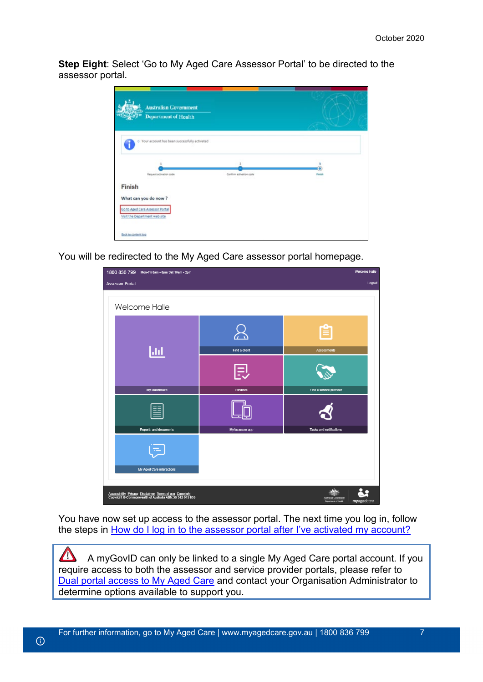**Step Eight**: Select 'Go to My Aged Care Assessor Portal' to be directed to the assessor portal.



You will be redirected to the My Aged Care assessor portal homepage.

| 1800 836 799 Mon-Fri 8am - 8pm Sat 10am - 2pm                                                                       |                | <b>Welcome Halle</b>                                                     |
|---------------------------------------------------------------------------------------------------------------------|----------------|--------------------------------------------------------------------------|
| <b>Assessor Portal</b>                                                                                              |                | Logout                                                                   |
|                                                                                                                     |                |                                                                          |
| Welcome Halle                                                                                                       |                |                                                                          |
|                                                                                                                     | Find a client  | <b>Assessments</b>                                                       |
| Ш                                                                                                                   |                |                                                                          |
| My Dashboard                                                                                                        | <b>Reviews</b> | Find a service provider                                                  |
|                                                                                                                     |                |                                                                          |
| <b>Reports and documents</b>                                                                                        | MyAssessor app | <b>Tasks and notifications</b>                                           |
| My Aged Care interactions                                                                                           |                |                                                                          |
| Accessibility Privacy Disclaimer Terms of use Copyright<br>Copyright © Commonwealth of Australia ABN:36 342 015 855 |                | <b>istralian Government</b><br>myagedcare<br><b>Department of Health</b> |

You have now set up access to the assessor portal. The next time you log in, follow the steps in [How do I log in to the assessor portal after I've activated my account?](#page-7-0)

 $\Delta$ A myGovID can only be linked to a single My Aged Care portal account. If you require access to both the assessor and service provider portals, please refer to [Dual portal access to My Aged Care](https://agedcare.health.gov.au/programs/my-aged-care/user-guide-dual-portal-user-logging-into-my-aged-care-using-vanguard) and contact your Organisation Administrator to determine options available to support you.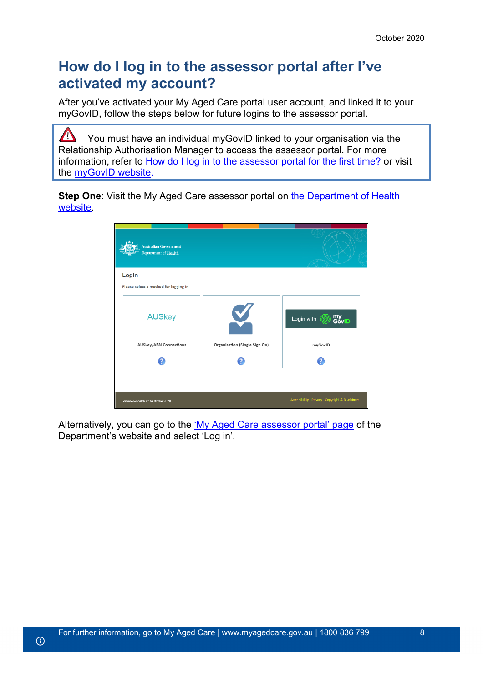# <span id="page-7-0"></span>**How do I log in to the assessor portal after I've activated my account?**

After you've activated your My Aged Care portal user account, and linked it to your myGovID, follow the steps below for future logins to the assessor portal.

 $\sqrt{2}$ You must have an individual myGovID linked to your organisation via the Relationship Authorisation Manager to access the assessor portal. For more information, refer to [How do I log in to the assessor portal for the first time?](#page-2-0) or visit the [myGovID website.](https://www.mygovid.gov.au/)

**Step One**: Visit the My Aged Care assessor portal on [the Department of Health](https://myagedcare-assessorportal.health.gov.au/)  [website.](https://myagedcare-assessorportal.health.gov.au/)

| <b>Australian Government</b><br><b>Department of Health</b> |                               |                                              |
|-------------------------------------------------------------|-------------------------------|----------------------------------------------|
| Login                                                       |                               |                                              |
| Please select a method for logging in                       |                               |                                              |
| <b>AUSkey</b>                                               | V                             | my<br>GovID<br>Login with                    |
| <b>AUSkey/ABN Connections</b>                               | Organisation (Single Sign On) | myGovID                                      |
| 2                                                           |                               | 2                                            |
|                                                             |                               |                                              |
| Commonwealth of Australia 2020                              |                               | Accessibility Privacy Copyright & Disclaimer |

Alternatively, you can go to the ['My Aged Care assessor portal' page](https://www.health.gov.au/resources/apps-and-tools/my-aged-care-assessor-portal) of the Department's website and select 'Log in'.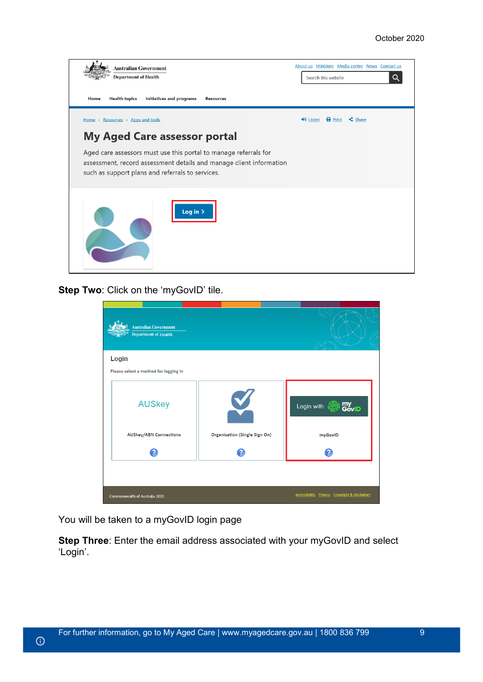| <b>Australian Government</b><br><b>Department of Health</b><br><b>Health topics</b><br><b>Initiatives and programs</b><br>Home<br><b>Resources</b>                                                                                                                      | About us Ministers Media centre News Contact us<br>Q<br>Search this website |
|-------------------------------------------------------------------------------------------------------------------------------------------------------------------------------------------------------------------------------------------------------------------------|-----------------------------------------------------------------------------|
| Home > Resources > Apps and tools<br><b>My Aged Care assessor portal</b><br>Aged care assessors must use this portal to manage referrals for<br>assessment, record assessment details and manage client information<br>such as support plans and referrals to services. | $\bigcirc$ Listen $\bigcirc$ Print<br>$\leq$ Share                          |
| Log in $\geq$                                                                                                                                                                                                                                                           |                                                                             |

**Step Two: Click on the 'myGovID' tile.** 

| <b>Australian Government</b><br><b>Department of Health</b> |                               |                                                         |
|-------------------------------------------------------------|-------------------------------|---------------------------------------------------------|
| Login<br>Please select a method for logging in              |                               |                                                         |
| <b>AUSkey</b>                                               | V                             | my<br>GovID<br>Login with                               |
| <b>AUSkey/ABN Connections</b>                               | Organisation (Single Sign On) | myGovID                                                 |
| 0                                                           |                               | 9                                                       |
|                                                             |                               |                                                         |
| Commonwealth of Australia 2020                              |                               | <b>Accessibility Privacy Copyright &amp; Disclaimer</b> |

You will be taken to a myGovID login page

 $\odot$ 

**Step Three**: Enter the email address associated with your myGovID and select 'Login'.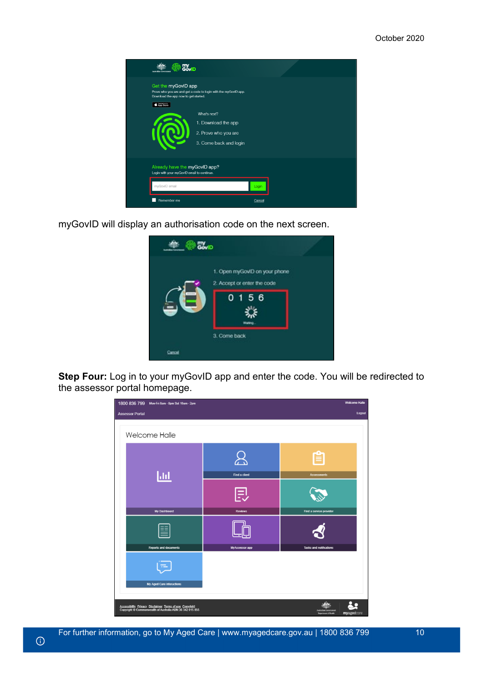| GóvID<br><b>Australian Covernan</b>                                         |                                                                                       |        |  |
|-----------------------------------------------------------------------------|---------------------------------------------------------------------------------------|--------|--|
| Get the myGovID app<br>Download the app now to get started.<br>App Store    | Prove who you are and get a code to login with the myGovID app.                       |        |  |
|                                                                             | What's next?<br>1. Download the app<br>2. Prove who you are<br>3. Come back and login |        |  |
| Already have the myGovID app?<br>Login with your myGovID email to continue. |                                                                                       |        |  |
| myGovID email                                                               |                                                                                       | Login  |  |
| Remember me                                                                 |                                                                                       | Cancel |  |

myGovID will display an authorisation code on the next screen.

| 1. Open myGovID on your phone<br>2. Accept or enter the code<br>4444<br>56<br>0 <sub>1</sub><br>œ<br><b>Madeo</b><br>3. Come back | <b>Covid</b> |  |
|-----------------------------------------------------------------------------------------------------------------------------------|--------------|--|
|                                                                                                                                   |              |  |
|                                                                                                                                   |              |  |
| Cancel                                                                                                                            |              |  |

**Step Four:** Log in to your myGovID app and enter the code. You will be redirected to the assessor portal homepage.

| 1800 836 799 Mon-Fri 8am - 8pm Sat 10am - 2pm                                                                       |                | <b>Welcome Halle</b>                               |
|---------------------------------------------------------------------------------------------------------------------|----------------|----------------------------------------------------|
| <b>Assessor Portal</b>                                                                                              |                | Logout                                             |
| Welcome Halle                                                                                                       |                |                                                    |
|                                                                                                                     |                | 窅                                                  |
| <u>lad</u>                                                                                                          | Find a client  | <b>Assessments</b>                                 |
|                                                                                                                     | 則              |                                                    |
| My Dashboard                                                                                                        | <b>Reviews</b> | Find a service provider                            |
|                                                                                                                     |                |                                                    |
| <b>Reports and documents</b>                                                                                        | MyAssessor app | <b>Tasks and notifications</b>                     |
|                                                                                                                     |                |                                                    |
| My Aged Care interactions                                                                                           |                |                                                    |
| Accessibility Privacy Disclaimer Terms of use Copyright<br>Copyright © Commonwealth of Australia ABN:36 342 015 855 |                | an Go<br>myagedcare<br><b>Department of Health</b> |